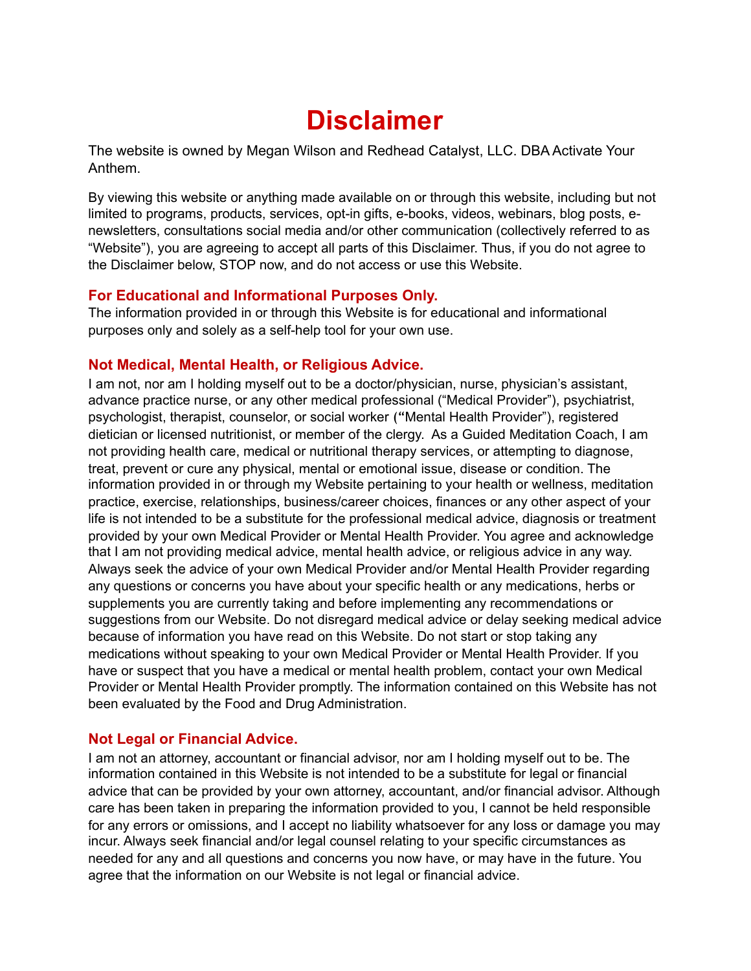# **Disclaimer**

The website is owned by Megan Wilson and Redhead Catalyst, LLC. DBA Activate Your Anthem.

By viewing this website or anything made available on or through this website, including but not limited to programs, products, services, opt-in gifts, e-books, videos, webinars, blog posts, enewsletters, consultations social media and/or other communication (collectively referred to as "Website"), you are agreeing to accept all parts of this Disclaimer. Thus, if you do not agree to the Disclaimer below, STOP now, and do not access or use this Website.

## **For Educational and Informational Purposes Only.**

The information provided in or through this Website is for educational and informational purposes only and solely as a self-help tool for your own use.

## **Not Medical, Mental Health, or Religious Advice.**

I am not, nor am I holding myself out to be a doctor/physician, nurse, physician's assistant, advance practice nurse, or any other medical professional ("Medical Provider"), psychiatrist, psychologist, therapist, counselor, or social worker ("Mental Health Provider"), registered dietician or licensed nutritionist, or member of the clergy. As a Guided Meditation Coach, I am not providing health care, medical or nutritional therapy services, or attempting to diagnose, treat, prevent or cure any physical, mental or emotional issue, disease or condition. The information provided in or through my Website pertaining to your health or wellness, meditation practice, exercise, relationships, business/career choices, finances or any other aspect of your life is not intended to be a substitute for the professional medical advice, diagnosis or treatment provided by your own Medical Provider or Mental Health Provider. You agree and acknowledge that I am not providing medical advice, mental health advice, or religious advice in any way. Always seek the advice of your own Medical Provider and/or Mental Health Provider regarding any questions or concerns you have about your specific health or any medications, herbs or supplements you are currently taking and before implementing any recommendations or suggestions from our Website. Do not disregard medical advice or delay seeking medical advice because of information you have read on this Website. Do not start or stop taking any medications without speaking to your own Medical Provider or Mental Health Provider. If you have or suspect that you have a medical or mental health problem, contact your own Medical Provider or Mental Health Provider promptly. The information contained on this Website has not been evaluated by the Food and Drug Administration.

# **Not Legal or Financial Advice.**

I am not an attorney, accountant or financial advisor, nor am I holding myself out to be. The information contained in this Website is not intended to be a substitute for legal or financial advice that can be provided by your own attorney, accountant, and/or financial advisor. Although care has been taken in preparing the information provided to you, I cannot be held responsible for any errors or omissions, and I accept no liability whatsoever for any loss or damage you may incur. Always seek financial and/or legal counsel relating to your specific circumstances as needed for any and all questions and concerns you now have, or may have in the future. You agree that the information on our Website is not legal or financial advice.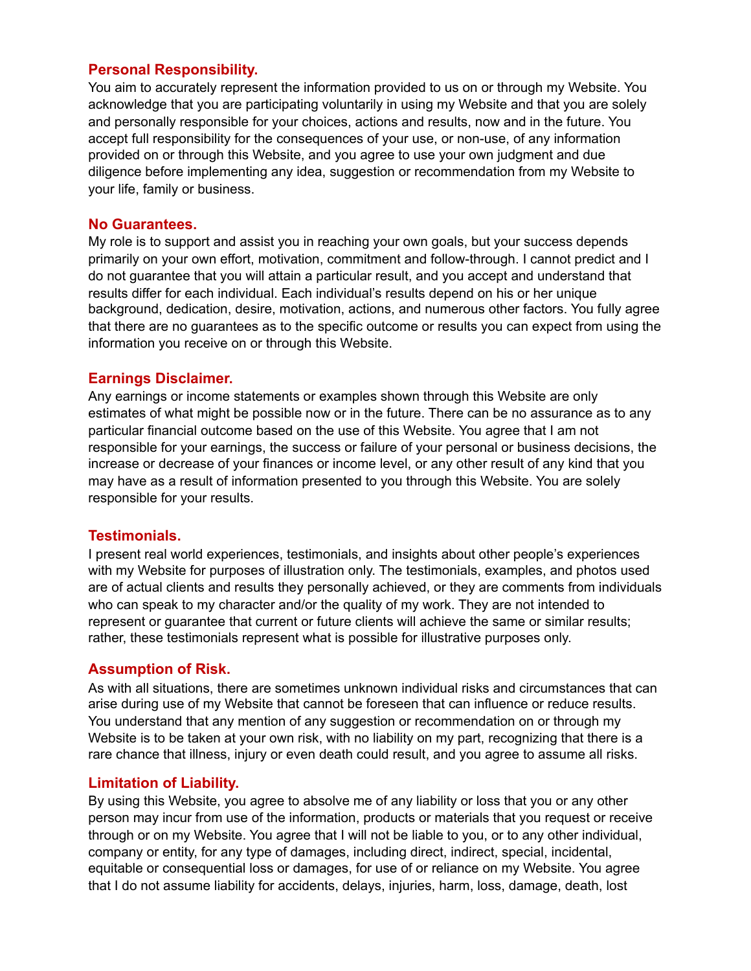## **Personal Responsibility.**

You aim to accurately represent the information provided to us on or through my Website. You acknowledge that you are participating voluntarily in using my Website and that you are solely and personally responsible for your choices, actions and results, now and in the future. You accept full responsibility for the consequences of your use, or non-use, of any information provided on or through this Website, and you agree to use your own judgment and due diligence before implementing any idea, suggestion or recommendation from my Website to your life, family or business.

#### **No Guarantees.**

My role is to support and assist you in reaching your own goals, but your success depends primarily on your own effort, motivation, commitment and follow-through. I cannot predict and I do not guarantee that you will attain a particular result, and you accept and understand that results differ for each individual. Each individual's results depend on his or her unique background, dedication, desire, motivation, actions, and numerous other factors. You fully agree that there are no guarantees as to the specific outcome or results you can expect from using the information you receive on or through this Website.

#### **Earnings Disclaimer.**

Any earnings or income statements or examples shown through this Website are only estimates of what might be possible now or in the future. There can be no assurance as to any particular financial outcome based on the use of this Website. You agree that I am not responsible for your earnings, the success or failure of your personal or business decisions, the increase or decrease of your finances or income level, or any other result of any kind that you may have as a result of information presented to you through this Website. You are solely responsible for your results.

#### **Testimonials.**

I present real world experiences, testimonials, and insights about other people's experiences with my Website for purposes of illustration only. The testimonials, examples, and photos used are of actual clients and results they personally achieved, or they are comments from individuals who can speak to my character and/or the quality of my work. They are not intended to represent or guarantee that current or future clients will achieve the same or similar results; rather, these testimonials represent what is possible for illustrative purposes only.

#### **Assumption of Risk.**

As with all situations, there are sometimes unknown individual risks and circumstances that can arise during use of my Website that cannot be foreseen that can influence or reduce results. You understand that any mention of any suggestion or recommendation on or through my Website is to be taken at your own risk, with no liability on my part, recognizing that there is a rare chance that illness, injury or even death could result, and you agree to assume all risks.

#### **Limitation of Liability.**

By using this Website, you agree to absolve me of any liability or loss that you or any other person may incur from use of the information, products or materials that you request or receive through or on my Website. You agree that I will not be liable to you, or to any other individual, company or entity, for any type of damages, including direct, indirect, special, incidental, equitable or consequential loss or damages, for use of or reliance on my Website. You agree that I do not assume liability for accidents, delays, injuries, harm, loss, damage, death, lost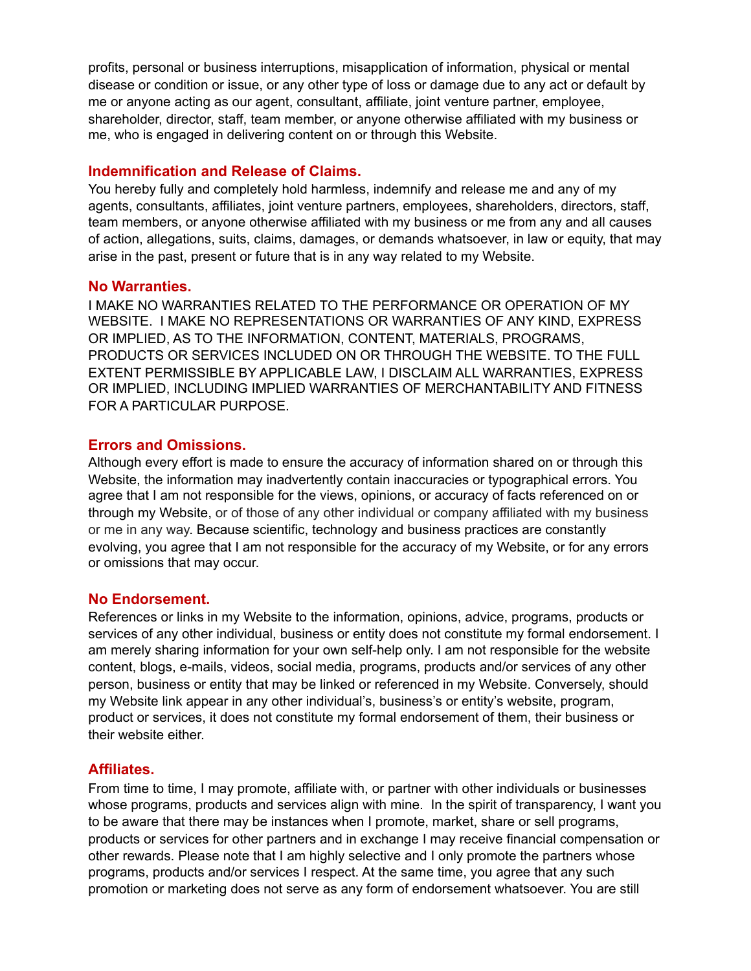profits, personal or business interruptions, misapplication of information, physical or mental disease or condition or issue, or any other type of loss or damage due to any act or default by me or anyone acting as our agent, consultant, affiliate, joint venture partner, employee, shareholder, director, staff, team member, or anyone otherwise affiliated with my business or me, who is engaged in delivering content on or through this Website.

## **Indemnification and Release of Claims.**

You hereby fully and completely hold harmless, indemnify and release me and any of my agents, consultants, affiliates, joint venture partners, employees, shareholders, directors, staff, team members, or anyone otherwise affiliated with my business or me from any and all causes of action, allegations, suits, claims, damages, or demands whatsoever, in law or equity, that may arise in the past, present or future that is in any way related to my Website.

#### **No Warranties.**

I MAKE NO WARRANTIES RELATED TO THE PERFORMANCE OR OPERATION OF MY WEBSITE. I MAKE NO REPRESENTATIONS OR WARRANTIES OF ANY KIND, EXPRESS OR IMPLIED, AS TO THE INFORMATION, CONTENT, MATERIALS, PROGRAMS, PRODUCTS OR SERVICES INCLUDED ON OR THROUGH THE WEBSITE. TO THE FULL EXTENT PERMISSIBLE BY APPLICABLE LAW, I DISCLAIM ALL WARRANTIES, EXPRESS OR IMPLIED, INCLUDING IMPLIED WARRANTIES OF MERCHANTABILITY AND FITNESS FOR A PARTICULAR PURPOSE.

## **Errors and Omissions.**

Although every effort is made to ensure the accuracy of information shared on or through this Website, the information may inadvertently contain inaccuracies or typographical errors. You agree that I am not responsible for the views, opinions, or accuracy of facts referenced on or through my Website, or of those of any other individual or company affiliated with my business or me in any way. Because scientific, technology and business practices are constantly evolving, you agree that I am not responsible for the accuracy of my Website, or for any errors or omissions that may occur.

#### **No Endorsement.**

References or links in my Website to the information, opinions, advice, programs, products or services of any other individual, business or entity does not constitute my formal endorsement. I am merely sharing information for your own self-help only. I am not responsible for the website content, blogs, e-mails, videos, social media, programs, products and/or services of any other person, business or entity that may be linked or referenced in my Website. Conversely, should my Website link appear in any other individual's, business's or entity's website, program, product or services, it does not constitute my formal endorsement of them, their business or their website either.

# **Affiliates.**

From time to time, I may promote, affiliate with, or partner with other individuals or businesses whose programs, products and services align with mine. In the spirit of transparency, I want you to be aware that there may be instances when I promote, market, share or sell programs, products or services for other partners and in exchange I may receive financial compensation or other rewards. Please note that I am highly selective and I only promote the partners whose programs, products and/or services I respect. At the same time, you agree that any such promotion or marketing does not serve as any form of endorsement whatsoever. You are still